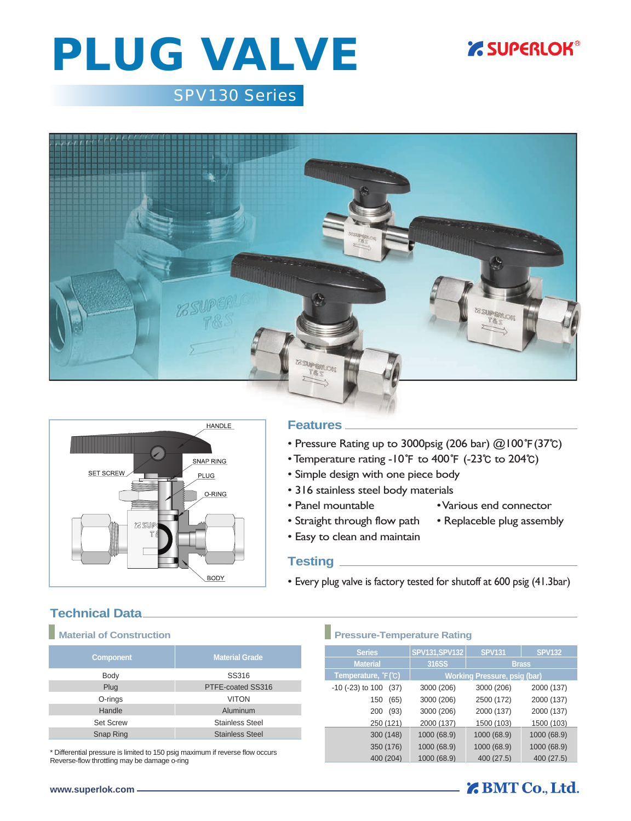## **Z SUPERLOK®**

# PLUG VALVE

## *SPV130 Series*





### **Features**

- Pressure Rating up to 3000psig (206 bar) @100**℉**(37**℃**)
- Temperature rating -10**℉** to 400**℉** (-23**℃** to 204**℃**)
- Simple design with one piece body
- 316 stainless steel body materials
- Panel mountable Various end connector
- Straight through flow path Replaceble plug assembly
- 
- Easy to clean and maintain
	-

### **Testing**

• Every plug valve is factory tested for shutoff at 600 psig (41.3bar)

### **Technical Data**

| <b>Component</b> | <b>Material Grade</b>  |  |  |
|------------------|------------------------|--|--|
| Body             | SS316                  |  |  |
| Plug             | PTFE-coated SS316      |  |  |
| O-rings          | <b>VITON</b>           |  |  |
| Handle           | Aluminum               |  |  |
| <b>Set Screw</b> | <b>Stainless Steel</b> |  |  |
| Snap Ring        | <b>Stainless Steel</b> |  |  |

\* Differential pressure is limited to 150 psig maximum if reverse flow occurs Reverse-flow throttling may be damage o-ring

### **Material of Construction Pressure-Temperature Rating**

| <b>Series</b>                    | SPV131, SPV132                      | <b>SPV131</b> | <b>SPV132</b> |
|----------------------------------|-------------------------------------|---------------|---------------|
| <b>Material</b>                  | 316SS                               | <b>Brass</b>  |               |
| Temperature, F(C)                | <b>Working Pressure, psig (bar)</b> |               |               |
| $-10$ ( $-23$ ) to $100$<br>(37) | 3000 (206)                          | 3000 (206)    | 2000 (137)    |
| (65)<br>150                      | 3000 (206)                          | 2500 (172)    | 2000 (137)    |
| (93)<br>200                      | 3000 (206)                          | 2000 (137)    | 2000 (137)    |
| 250 (121)                        | 2000 (137)                          | 1500 (103)    | 1500 (103)    |
| 300 (148)                        | 1000 (68.9)                         | 1000 (68.9)   | 1000 (68.9)   |
| 350 (176)                        | 1000 (68.9)                         | 1000 (68.9)   | 1000 (68.9)   |
| 400 (204)                        | 1000 (68.9)                         | 400 (27.5)    | 400 (27.5)    |